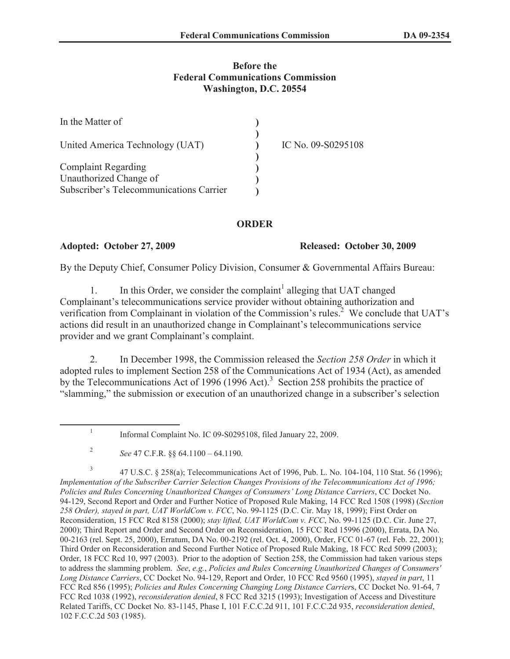# **Before the Federal Communications Commission Washington, D.C. 20554**

| In the Matter of                        |                    |
|-----------------------------------------|--------------------|
| United America Technology (UAT)         | IC No. 09-S0295108 |
| <b>Complaint Regarding</b>              |                    |
| Unauthorized Change of                  |                    |
| Subscriber's Telecommunications Carrier |                    |

## **ORDER**

1

### **Adopted: October 27, 2009 Released: October 30, 2009**

By the Deputy Chief, Consumer Policy Division, Consumer & Governmental Affairs Bureau:

1. In this Order, we consider the complaint<sup>1</sup> alleging that UAT changed Complainant's telecommunications service provider without obtaining authorization and verification from Complainant in violation of the Commission's rules.<sup>2</sup> We conclude that  $UAT$ 's actions did result in an unauthorized change in Complainant's telecommunications service provider and we grant Complainant's complaint.

2. In December 1998, the Commission released the *Section 258 Order* in which it adopted rules to implement Section 258 of the Communications Act of 1934 (Act), as amended by the Telecommunications Act of 1996 (1996 Act).<sup>3</sup> Section 258 prohibits the practice of "slamming," the submission or execution of an unauthorized change in a subscriber's selection

3 47 U.S.C. § 258(a); Telecommunications Act of 1996, Pub. L. No. 104-104, 110 Stat. 56 (1996); *Implementation of the Subscriber Carrier Selection Changes Provisions of the Telecommunications Act of 1996; Policies and Rules Concerning Unauthorized Changes of Consumers' Long Distance Carriers*, CC Docket No. 94-129, Second Report and Order and Further Notice of Proposed Rule Making, 14 FCC Rcd 1508 (1998) (*Section 258 Order), stayed in part, UAT WorldCom v. FCC*, No. 99-1125 (D.C. Cir. May 18, 1999); First Order on Reconsideration, 15 FCC Rcd 8158 (2000); *stay lifted, UAT WorldCom v. FCC*, No. 99-1125 (D.C. Cir. June 27, 2000); Third Report and Order and Second Order on Reconsideration, 15 FCC Rcd 15996 (2000), Errata, DA No. 00-2163 (rel. Sept. 25, 2000), Erratum, DA No. 00-2192 (rel. Oct. 4, 2000), Order, FCC 01-67 (rel. Feb. 22, 2001); Third Order on Reconsideration and Second Further Notice of Proposed Rule Making, 18 FCC Rcd 5099 (2003); Order, 18 FCC Rcd 10, 997 (2003). Prior to the adoption of Section 258, the Commission had taken various steps to address the slamming problem. *See*, *e.g.*, *Policies and Rules Concerning Unauthorized Changes of Consumers' Long Distance Carriers*, CC Docket No. 94-129, Report and Order, 10 FCC Rcd 9560 (1995), *stayed in part*, 11 FCC Rcd 856 (1995); *Policies and Rules Concerning Changing Long Distance Carrier*s, CC Docket No. 91-64, 7 FCC Rcd 1038 (1992), *reconsideration denied*, 8 FCC Rcd 3215 (1993); Investigation of Access and Divestiture Related Tariffs, CC Docket No. 83-1145, Phase I, 101 F.C.C.2d 911, 101 F.C.C.2d 935, *reconsideration denied*, 102 F.C.C.2d 503 (1985).

Informal Complaint No. IC 09-S0295108, filed January 22, 2009.

<sup>2</sup> *See* 47 C.F.R. §§ 64.1100 – 64.1190.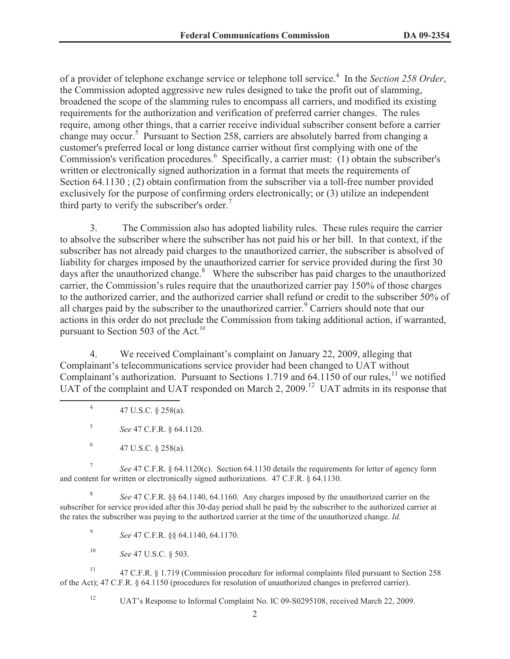of a provider of telephone exchange service or telephone toll service.<sup>4</sup> In the *Section 258 Order*, the Commission adopted aggressive new rules designed to take the profit out of slamming, broadened the scope of the slamming rules to encompass all carriers, and modified its existing requirements for the authorization and verification of preferred carrier changes. The rules require, among other things, that a carrier receive individual subscriber consent before a carrier change may occur.<sup>5</sup> Pursuant to Section 258, carriers are absolutely barred from changing a customer's preferred local or long distance carrier without first complying with one of the Commission's verification procedures.<sup>6</sup> Specifically, a carrier must: (1) obtain the subscriber's written or electronically signed authorization in a format that meets the requirements of Section 64.1130; (2) obtain confirmation from the subscriber via a toll-free number provided exclusively for the purpose of confirming orders electronically; or (3) utilize an independent third party to verify the subscriber's order.<sup>7</sup>

3. The Commission also has adopted liability rules. These rules require the carrier to absolve the subscriber where the subscriber has not paid his or her bill. In that context, if the subscriber has not already paid charges to the unauthorized carrier, the subscriber is absolved of liability for charges imposed by the unauthorized carrier for service provided during the first 30 days after the unauthorized change. $8$  Where the subscriber has paid charges to the unauthorized carrier, the Commission's rules require that the unauthorized carrier pay 150% of those charges to the authorized carrier, and the authorized carrier shall refund or credit to the subscriber 50% of all charges paid by the subscriber to the unauthorized carrier.<sup>9</sup> Carriers should note that our actions in this order do not preclude the Commission from taking additional action, if warranted, pursuant to Section 503 of the Act.<sup>10</sup>

4. We received Complainant's complaint on January 22, 2009, alleging that Complainant's telecommunications service provider had been changed to UAT without Complainant's authorization. Pursuant to Sections 1.719 and  $64.1150$  of our rules,<sup>11</sup> we notified UAT of the complaint and UAT responded on March 2, 2009.<sup>12</sup> UAT admits in its response that

7 *See* 47 C.F.R. § 64.1120(c). Section 64.1130 details the requirements for letter of agency form and content for written or electronically signed authorizations. 47 C.F.R. § 64.1130.

8 *See* 47 C.F.R. §§ 64.1140, 64.1160. Any charges imposed by the unauthorized carrier on the subscriber for service provided after this 30-day period shall be paid by the subscriber to the authorized carrier at the rates the subscriber was paying to the authorized carrier at the time of the unauthorized change. *Id.*

9 *See* 47 C.F.R. §§ 64.1140, 64.1170.

<sup>10</sup> *See* 47 U.S.C. § 503.

<sup>11</sup> 47 C.F.R. § 1.719 (Commission procedure for informal complaints filed pursuant to Section 258 of the Act); 47 C.F.R. § 64.1150 (procedures for resolution of unauthorized changes in preferred carrier).

<sup>12</sup> UAT's Response to Informal Complaint No. IC 09-S0295108, received March 22, 2009.

<sup>4</sup> 47 U.S.C. § 258(a).

<sup>5</sup> *See* 47 C.F.R. § 64.1120.

<sup>6</sup> 47 U.S.C. § 258(a).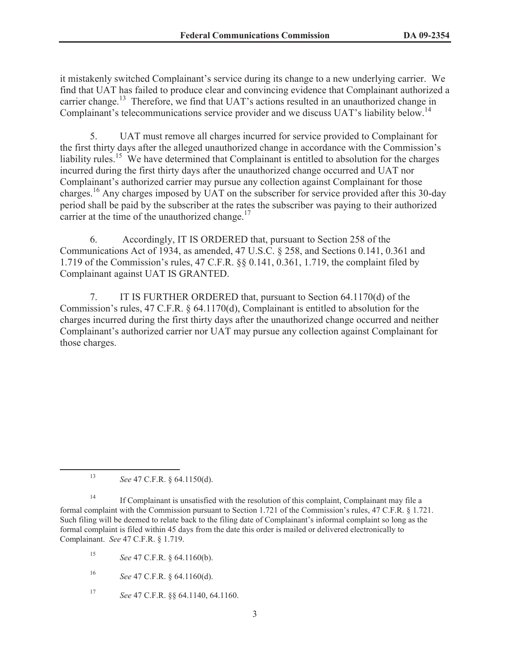it mistakenly switched Complainant's service during its change to a new underlying carrier. We find that UAT has failed to produce clear and convincing evidence that Complainant authorized a carrier change.<sup>13</sup> Therefore, we find that UAT's actions resulted in an unauthorized change in Complainant's telecommunications service provider and we discuss UAT's liability below.<sup>14</sup>

5. UAT must remove all charges incurred for service provided to Complainant for the first thirty days after the alleged unauthorized change in accordance with the Commission's liability rules.<sup>15</sup> We have determined that Complainant is entitled to absolution for the charges incurred during the first thirty days after the unauthorized change occurred and UAT nor Complainant's authorized carrier may pursue any collection against Complainant for those charges.<sup>16</sup> Any charges imposed by UAT on the subscriber for service provided after this 30-day period shall be paid by the subscriber at the rates the subscriber was paying to their authorized carrier at the time of the unauthorized change. $17$ 

6. Accordingly, IT IS ORDERED that, pursuant to Section 258 of the Communications Act of 1934, as amended, 47 U.S.C. § 258, and Sections 0.141, 0.361 and 1.719 of the Commission's rules, 47 C.F.R. §§ 0.141, 0.361, 1.719, the complaint filed by Complainant against UAT IS GRANTED.

7. IT IS FURTHER ORDERED that, pursuant to Section 64.1170(d) of the Commission's rules, 47 C.F.R. § 64.1170(d), Complainant is entitled to absolution for the charges incurred during the first thirty days after the unauthorized change occurred and neither Complainant's authorized carrier nor UAT may pursue any collection against Complainant for those charges.

<sup>13</sup> *See* 47 C.F.R. § 64.1150(d).

<sup>14</sup> If Complainant is unsatisfied with the resolution of this complaint, Complainant may file a formal complaint with the Commission pursuant to Section 1.721 of the Commission's rules, 47 C.F.R. § 1.721. Such filing will be deemed to relate back to the filing date of Complainant's informal complaint so long as the formal complaint is filed within 45 days from the date this order is mailed or delivered electronically to Complainant. *See* 47 C.F.R. § 1.719.

<sup>15</sup> *See* 47 C.F.R. § 64.1160(b).

<sup>16</sup> *See* 47 C.F.R. § 64.1160(d).

<sup>17</sup> *See* 47 C.F.R. §§ 64.1140, 64.1160.